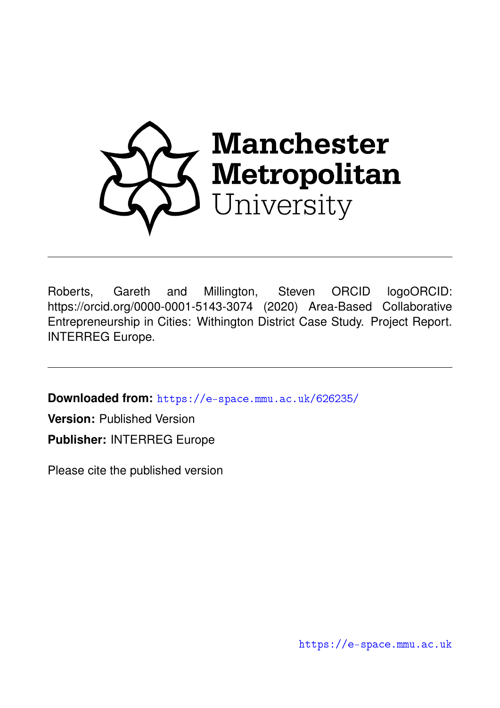

Roberts, Gareth and Millington, Steven ORCID logoORCID: https://orcid.org/0000-0001-5143-3074 (2020) Area-Based Collaborative Entrepreneurship in Cities: Withington District Case Study. Project Report. INTERREG Europe.

**Downloaded from:** <https://e-space.mmu.ac.uk/626235/>

**Version:** Published Version

**Publisher:** INTERREG Europe

Please cite the published version

<https://e-space.mmu.ac.uk>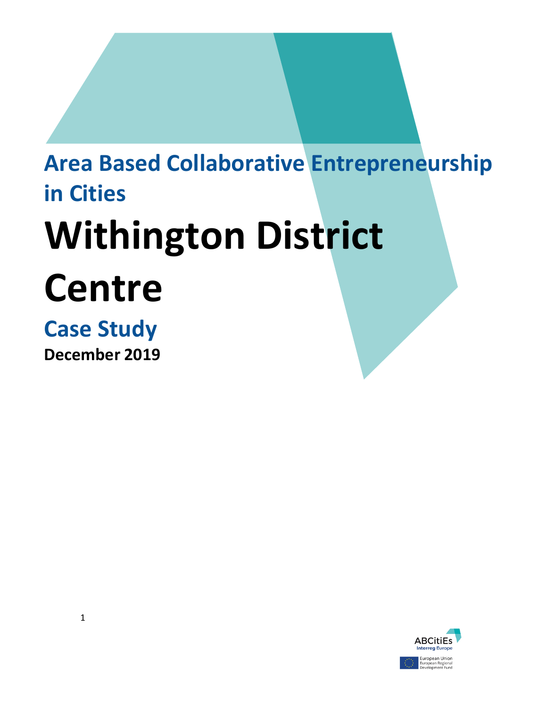# **Area Based Collaborative Entrepreneurship in Cities Withington District Centre**

# **Case Study**

**December 2019**

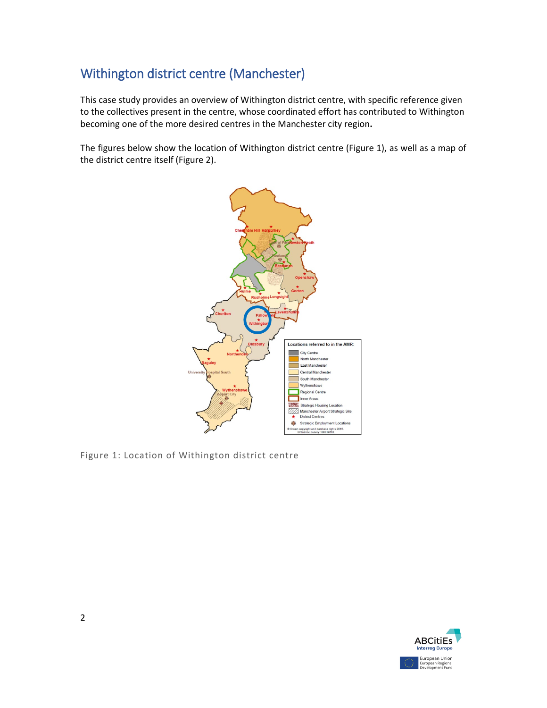# Withington district centre (Manchester)

This case study provides an overview of Withington district centre, with specific reference given to the collectives present in the centre, whose coordinated effort has contributed to Withington becoming one of the more desired centres in the Manchester city region**.**

The figures below show the location of Withington district centre (Figure 1), as well as a map of the district centre itself (Figure 2).



Figure 1: Location of Withington district centre

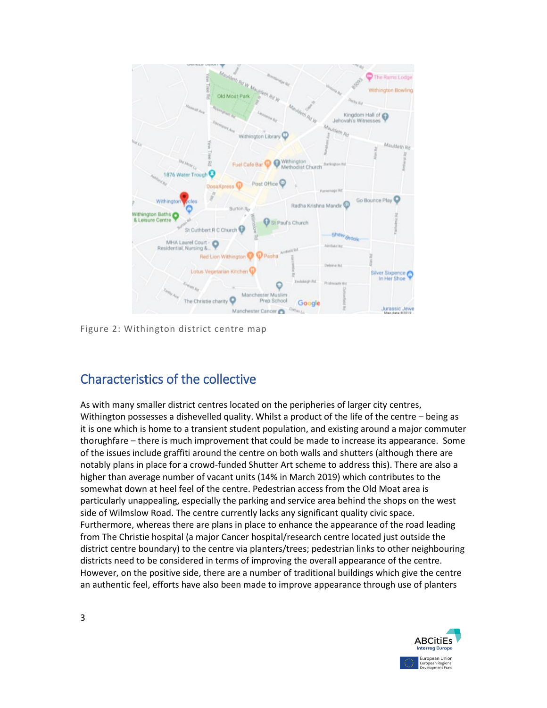

Figure 2: Withington district centre map

# Characteristics of the collective

As with many smaller district centres located on the peripheries of larger city centres, Withington possesses a dishevelled quality. Whilst a product of the life of the centre – being as it is one which is home to a transient student population, and existing around a major commuter thorughfare – there is much improvement that could be made to increase its appearance. Some of the issues include graffiti around the centre on both walls and shutters (although there are notably plans in place for a crowd-funded Shutter Art scheme to address this). There are also a higher than average number of vacant units (14% in March 2019) which contributes to the somewhat down at heel feel of the centre. Pedestrian access from the Old Moat area is particularly unappealing, especially the parking and service area behind the shops on the west side of Wilmslow Road. The centre currently lacks any significant quality civic space. Furthermore, whereas there are plans in place to enhance the appearance of the road leading from The Christie hospital (a major Cancer hospital/research centre located just outside the district centre boundary) to the centre via planters/trees; pedestrian links to other neighbouring districts need to be considered in terms of improving the overall appearance of the centre. However, on the positive side, there are a number of traditional buildings which give the centre an authentic feel, efforts have also been made to improve appearance through use of planters

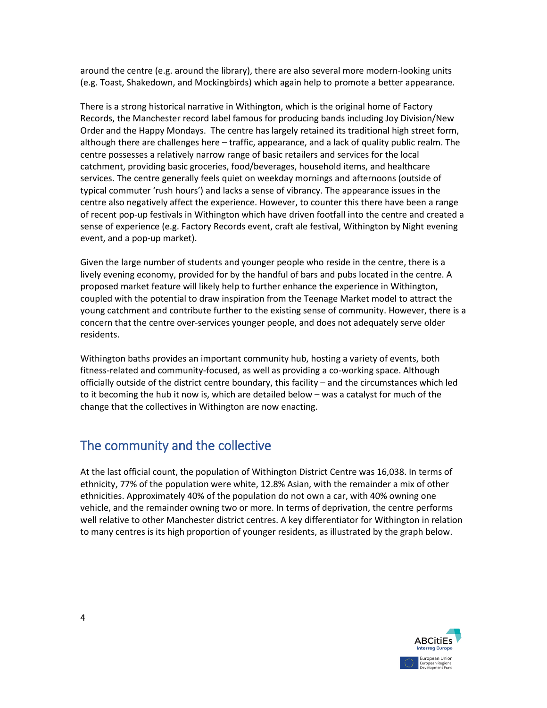around the centre (e.g. around the library), there are also several more modern-looking units (e.g. Toast, Shakedown, and Mockingbirds) which again help to promote a better appearance.

There is a strong historical narrative in Withington, which is the original home of Factory Records, the Manchester record label famous for producing bands including Joy Division/New Order and the Happy Mondays. The centre has largely retained its traditional high street form, although there are challenges here – traffic, appearance, and a lack of quality public realm. The centre possesses a relatively narrow range of basic retailers and services for the local catchment, providing basic groceries, food/beverages, household items, and healthcare services. The centre generally feels quiet on weekday mornings and afternoons (outside of typical commuter 'rush hours') and lacks a sense of vibrancy. The appearance issues in the centre also negatively affect the experience. However, to counter this there have been a range of recent pop-up festivals in Withington which have driven footfall into the centre and created a sense of experience (e.g. Factory Records event, craft ale festival, Withington by Night evening event, and a pop-up market).

Given the large number of students and younger people who reside in the centre, there is a lively evening economy, provided for by the handful of bars and pubs located in the centre. A proposed market feature will likely help to further enhance the experience in Withington, coupled with the potential to draw inspiration from the Teenage Market model to attract the young catchment and contribute further to the existing sense of community. However, there is a concern that the centre over-services younger people, and does not adequately serve older residents.

Withington baths provides an important community hub, hosting a variety of events, both fitness-related and community-focused, as well as providing a co-working space. Although officially outside of the district centre boundary, this facility – and the circumstances which led to it becoming the hub it now is, which are detailed below – was a catalyst for much of the change that the collectives in Withington are now enacting.

#### The community and the collective

At the last official count, the population of Withington District Centre was 16,038. In terms of ethnicity, 77% of the population were white, 12.8% Asian, with the remainder a mix of other ethnicities. Approximately 40% of the population do not own a car, with 40% owning one vehicle, and the remainder owning two or more. In terms of deprivation, the centre performs well relative to other Manchester district centres. A key differentiator for Withington in relation to many centres is its high proportion of younger residents, as illustrated by the graph below.

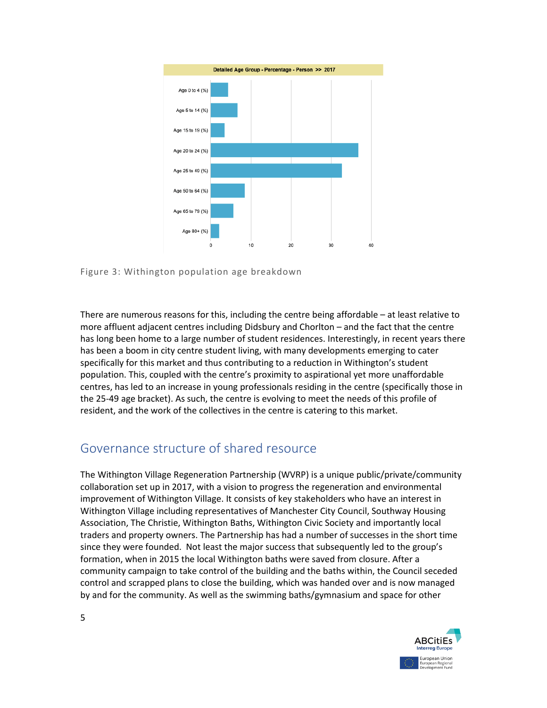

Figure 3: Withington population age breakdown

There are numerous reasons for this, including the centre being affordable – at least relative to more affluent adjacent centres including Didsbury and Chorlton – and the fact that the centre has long been home to a large number of student residences. Interestingly, in recent years there has been a boom in city centre student living, with many developments emerging to cater specifically for this market and thus contributing to a reduction in Withington's student population. This, coupled with the centre's proximity to aspirational yet more unaffordable centres, has led to an increase in young professionals residing in the centre (specifically those in the 25-49 age bracket). As such, the centre is evolving to meet the needs of this profile of resident, and the work of the collectives in the centre is catering to this market.

#### Governance structure of shared resource

The Withington Village Regeneration Partnership (WVRP) is a unique public/private/community collaboration set up in 2017, with a vision to progress the regeneration and environmental improvement of Withington Village. It consists of key stakeholders who have an interest in Withington Village including representatives of Manchester City Council, Southway Housing Association, The Christie, Withington Baths, Withington Civic Society and importantly local traders and property owners. The Partnership has had a number of successes in the short time since they were founded. Not least the major success that subsequently led to the group's formation, when in 2015 the local Withington baths were saved from closure. After a community campaign to take control of the building and the baths within, the Council seceded control and scrapped plans to close the building, which was handed over and is now managed by and for the community. As well as the swimming baths/gymnasium and space for other

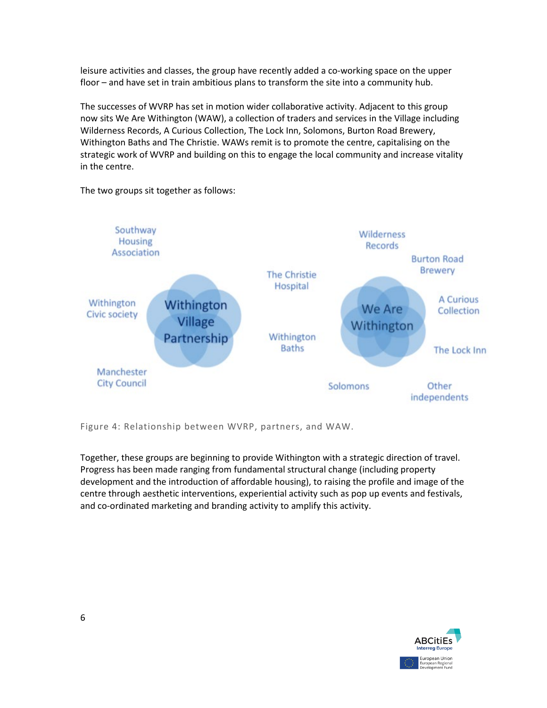leisure activities and classes, the group have recently added a co-working space on the upper floor – and have set in train ambitious plans to transform the site into a community hub.

The successes of WVRP has set in motion wider collaborative activity. Adjacent to this group now sits We Are Withington (WAW), a collection of traders and services in the Village including Wilderness Records, A Curious Collection, The Lock Inn, Solomons, Burton Road Brewery, Withington Baths and The Christie. WAWs remit is to promote the centre, capitalising on the strategic work of WVRP and building on this to engage the local community and increase vitality in the centre.

Southway Wilderness **Housing** Records Association **Burton Road Brewery** The Christie Hospital **A Curious** Withington Withington We Are Collection Civic society Village Withington Partnership Withington **Baths** The Lock Inn Manchester **City Council Solomons** Other independents

The two groups sit together as follows:

Figure 4: Relationship between WVRP, partners, and WAW.

Together, these groups are beginning to provide Withington with a strategic direction of travel. Progress has been made ranging from fundamental structural change (including property development and the introduction of affordable housing), to raising the profile and image of the centre through aesthetic interventions, experiential activity such as pop up events and festivals, and co-ordinated marketing and branding activity to amplify this activity.

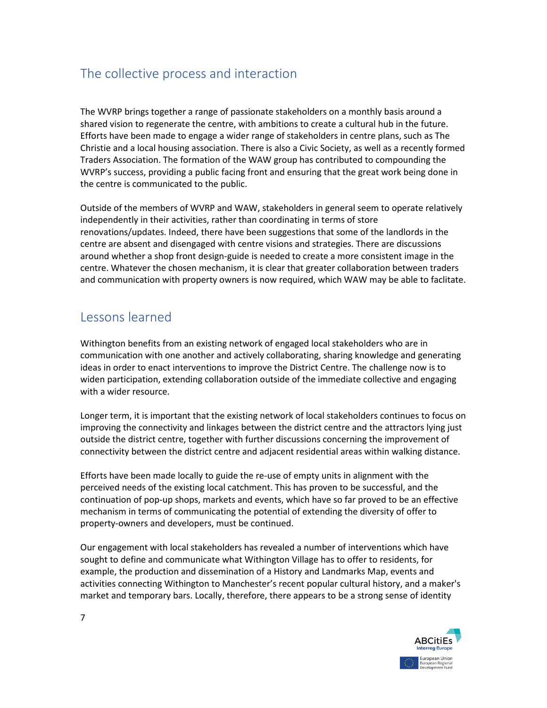### The collective process and interaction

The WVRP brings together a range of passionate stakeholders on a monthly basis around a shared vision to regenerate the centre, with ambitions to create a cultural hub in the future. Efforts have been made to engage a wider range of stakeholders in centre plans, such as The Christie and a local housing association. There is also a Civic Society, as well as a recently formed Traders Association. The formation of the WAW group has contributed to compounding the WVRP's success, providing a public facing front and ensuring that the great work being done in the centre is communicated to the public.

Outside of the members of WVRP and WAW, stakeholders in general seem to operate relatively independently in their activities, rather than coordinating in terms of store renovations/updates. Indeed, there have been suggestions that some of the landlords in the centre are absent and disengaged with centre visions and strategies. There are discussions around whether a shop front design-guide is needed to create a more consistent image in the centre. Whatever the chosen mechanism, it is clear that greater collaboration between traders and communication with property owners is now required, which WAW may be able to faclitate.

#### Lessons learned

Withington benefits from an existing network of engaged local stakeholders who are in communication with one another and actively collaborating, sharing knowledge and generating ideas in order to enact interventions to improve the District Centre. The challenge now is to widen participation, extending collaboration outside of the immediate collective and engaging with a wider resource.

Longer term, it is important that the existing network of local stakeholders continues to focus on improving the connectivity and linkages between the district centre and the attractors lying just outside the district centre, together with further discussions concerning the improvement of connectivity between the district centre and adjacent residential areas within walking distance.

Efforts have been made locally to guide the re-use of empty units in alignment with the perceived needs of the existing local catchment. This has proven to be successful, and the continuation of pop-up shops, markets and events, which have so far proved to be an effective mechanism in terms of communicating the potential of extending the diversity of offer to property-owners and developers, must be continued.

Our engagement with local stakeholders has revealed a number of interventions which have sought to define and communicate what Withington Village has to offer to residents, for example, the production and dissemination of a History and Landmarks Map, events and activities connecting Withington to Manchester's recent popular cultural history, and a maker's market and temporary bars. Locally, therefore, there appears to be a strong sense of identity

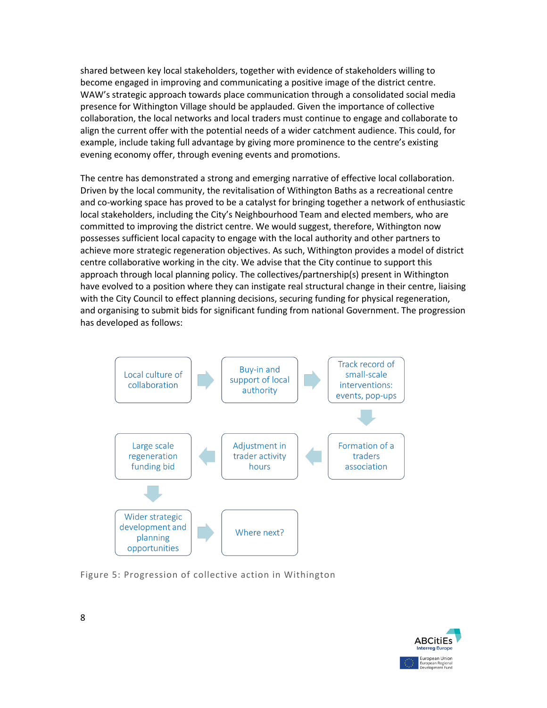shared between key local stakeholders, together with evidence of stakeholders willing to become engaged in improving and communicating a positive image of the district centre. WAW's strategic approach towards place communication through a consolidated social media presence for Withington Village should be applauded. Given the importance of collective collaboration, the local networks and local traders must continue to engage and collaborate to align the current offer with the potential needs of a wider catchment audience. This could, for example, include taking full advantage by giving more prominence to the centre's existing evening economy offer, through evening events and promotions.

The centre has demonstrated a strong and emerging narrative of effective local collaboration. Driven by the local community, the revitalisation of Withington Baths as a recreational centre and co-working space has proved to be a catalyst for bringing together a network of enthusiastic local stakeholders, including the City's Neighbourhood Team and elected members, who are committed to improving the district centre. We would suggest, therefore, Withington now possesses sufficient local capacity to engage with the local authority and other partners to achieve more strategic regeneration objectives. As such, Withington provides a model of district centre collaborative working in the city. We advise that the City continue to support this approach through local planning policy. The collectives/partnership(s) present in Withington have evolved to a position where they can instigate real structural change in their centre, liaising with the City Council to effect planning decisions, securing funding for physical regeneration, and organising to submit bids for significant funding from national Government. The progression has developed as follows:



Figure 5: Progression of collective action in Withington